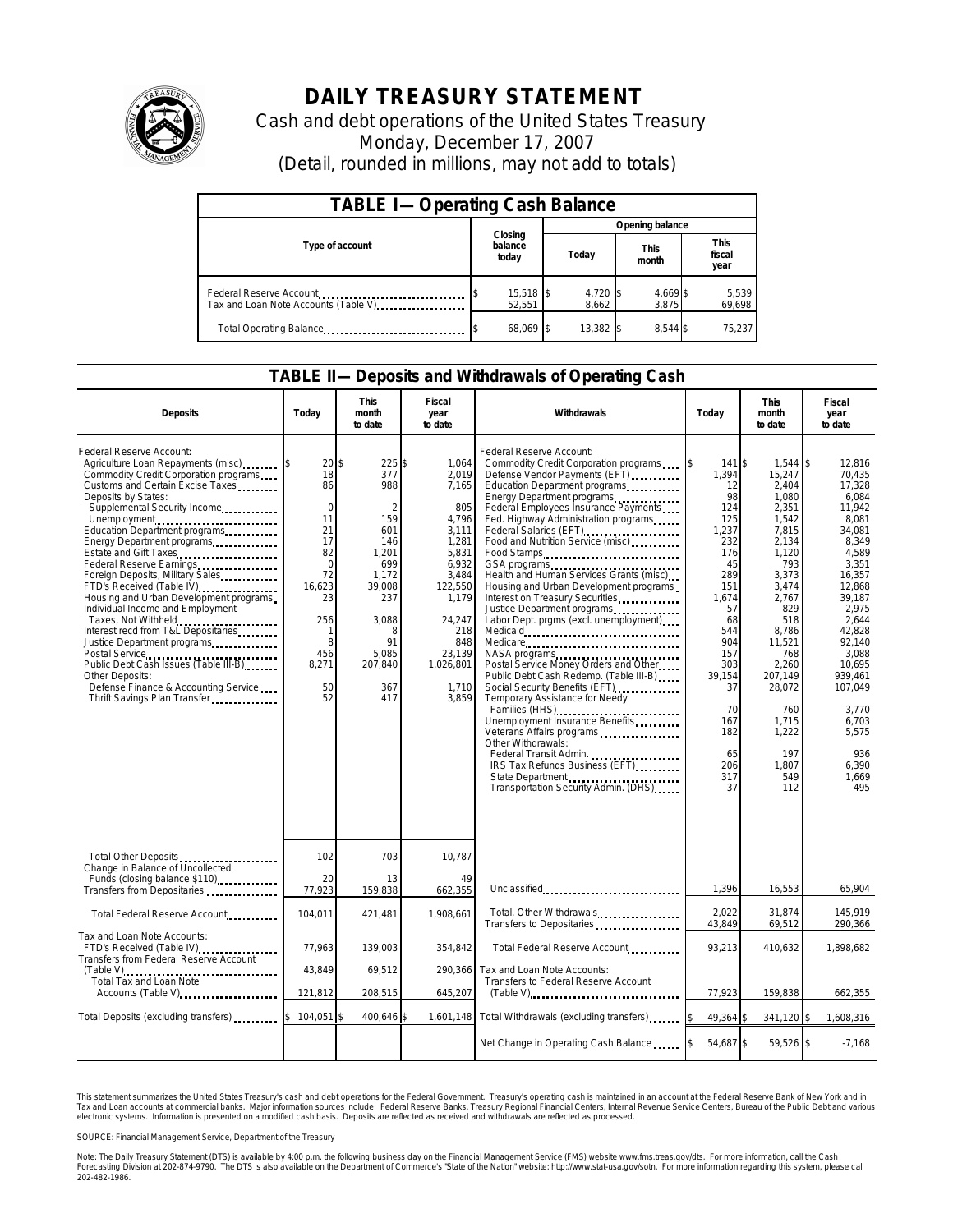

## **DAILY TREASURY STATEMENT**

Cash and debt operations of the United States Treasury Monday, December 17, 2007 (Detail, rounded in millions, may not add to totals)

| <b>TABLE I-Operating Cash Balance</b>                           |                             |                   |                      |                 |  |  |  |
|-----------------------------------------------------------------|-----------------------------|-------------------|----------------------|-----------------|--|--|--|
|                                                                 |                             | Opening balance   |                      |                 |  |  |  |
| Type of account                                                 | Closing<br>balance<br>today | Today             | <b>This</b><br>month |                 |  |  |  |
| Federal Reserve Account<br>Tax and Loan Note Accounts (Table V) | $15,518$ \$<br>52.551       | 4,720 \$<br>8.662 | 4,669 \$<br>3.875    | 5,539<br>69,698 |  |  |  |
| Total Operating Balance                                         | 68,069 \$                   | 13,382 \$         | 8.544 \$             | 75,237          |  |  |  |

## **TABLE II—Deposits and Withdrawals of Operating Cash**

| <b>Deposits</b>                                                                                                                                                                                                                                                                                                                                                                                                                                                                                                                                                                                                                                                                                              | Todav                                                                                                                                | <b>This</b><br>month<br>to date                                                                                                                | <b>Fiscal</b><br>year<br>to date                                                                                                                                          | Withdrawals                                                                                                                                                                                                                                                                                                                                                                                                                                                                                                                                                                                                                                                                                                                                                                                                                                                                                                                      | Today                                                                                                                                                                                               | <b>This</b><br>month<br>to date                                                                                                                                                                                                                     | Fiscal<br>year<br>to date                                                                                                                                                                                                                                           |
|--------------------------------------------------------------------------------------------------------------------------------------------------------------------------------------------------------------------------------------------------------------------------------------------------------------------------------------------------------------------------------------------------------------------------------------------------------------------------------------------------------------------------------------------------------------------------------------------------------------------------------------------------------------------------------------------------------------|--------------------------------------------------------------------------------------------------------------------------------------|------------------------------------------------------------------------------------------------------------------------------------------------|---------------------------------------------------------------------------------------------------------------------------------------------------------------------------|----------------------------------------------------------------------------------------------------------------------------------------------------------------------------------------------------------------------------------------------------------------------------------------------------------------------------------------------------------------------------------------------------------------------------------------------------------------------------------------------------------------------------------------------------------------------------------------------------------------------------------------------------------------------------------------------------------------------------------------------------------------------------------------------------------------------------------------------------------------------------------------------------------------------------------|-----------------------------------------------------------------------------------------------------------------------------------------------------------------------------------------------------|-----------------------------------------------------------------------------------------------------------------------------------------------------------------------------------------------------------------------------------------------------|---------------------------------------------------------------------------------------------------------------------------------------------------------------------------------------------------------------------------------------------------------------------|
| Federal Reserve Account:<br>Agriculture Loan Repayments (misc)<br>Commodity Credit Corporation programs<br>Customs and Certain Excise Taxes<br>Deposits by States:<br>Supplemental Security Income<br>Unemployment<br>Education Department programs<br>Energy Department programs<br>Estate and Gift Taxes<br>Foreign Deposits, Military Sales<br>FTD's Received (Table IV)<br>Housing and Urban Development programs<br>Individual Income and Employment<br>Taxes, Not Withheld<br>Interest recd from T&L Depositaries<br>Justice Department programs<br>Postal Service<br>Public Debt Cash Issues (Table III-B)<br>Other Deposits:<br>Defense Finance & Accounting Service<br>Thrift Savings Plan Transfer | 20<br>18<br>86<br>$\Omega$<br>11<br>21<br>17<br>82<br>$\mathbf 0$<br>72<br>16,623<br>23<br>256<br>1<br>8<br>456<br>8,271<br>50<br>52 | \$<br>225\$<br>377<br>988<br>159<br>601<br>146<br>1,201<br>699<br>1,172<br>39,008<br>237<br>3,088<br>8<br>91<br>5.085<br>207,840<br>367<br>417 | 1,064<br>2,019<br>7,165<br>805<br>4,796<br>3,111<br>1,281<br>5,831<br>6,932<br>3,484<br>122,550<br>1.179<br>24,247<br>218<br>848<br>23,139<br>1,026,801<br>1,710<br>3.859 | Federal Reserve Account:<br>Commodity Credit Corporation programs<br>Defense Vendor Payments (EFT)<br>Education Department programs<br>Energy Department programs<br>Federal Employees Insurance Payments<br>Fed. Highway Administration programs<br>Federal Salaries (EFT)<br>Food and Nutrition Service (misc)<br>Food Stamps<br>Health and Human Services Grants (misc)<br>Housing and Urban Development programs<br>Interest on Treasury Securities<br>Justice Department programs<br>Labor Dept. prgms (excl. unemployment)<br>Medicare<br>NASA programs<br>Postal Service Money Orders and Other<br>Public Debt Cash Redemp. (Table III-B)<br>Social Security Benefits (EFT)<br>Temporary Assistance for Needy<br>Families (HHS)<br>Unemployment Insurance Benefits<br>Veterans Affairs programs<br>Other Withdrawals:<br>Federal Transit Admin.<br>IRS Tax Refunds Business (EFT)<br>Transportation Security Admin. (DHS) | 141 \$<br>1,394<br>12<br>98<br>124<br>125<br>1,237<br>232<br>176<br>45<br>289<br>151<br>1,674<br>57<br>68<br>544<br>904<br>157<br>303<br>39.154<br>37<br>70<br>167<br>182<br>65<br>206<br>317<br>37 | $1.544$ \\$<br>15,247<br>2,404<br>1,080<br>2,351<br>1,542<br>7,815<br>2,134<br>1,120<br>793<br>3,373<br>3,474<br>2,767<br>829<br>518<br>8,786<br>11,521<br>768<br>2,260<br>207,149<br>28,072<br>760<br>1,715<br>1,222<br>197<br>1.807<br>549<br>112 | 12.816<br>70.435<br>17,328<br>6.084<br>11,942<br>8.081<br>34,081<br>8.349<br>4,589<br>3,351<br>16,357<br>12,868<br>39,187<br>2.975<br>2.644<br>42,828<br>92,140<br>3,088<br>10,695<br>939.461<br>107,049<br>3,770<br>6,703<br>5,575<br>936<br>6.390<br>1,669<br>495 |
| Total Other Deposits<br>Change in Balance of Uncollected<br>Funds (closing balance \$110)                                                                                                                                                                                                                                                                                                                                                                                                                                                                                                                                                                                                                    | 102<br>20                                                                                                                            | 703<br>13                                                                                                                                      | 10,787<br>49                                                                                                                                                              |                                                                                                                                                                                                                                                                                                                                                                                                                                                                                                                                                                                                                                                                                                                                                                                                                                                                                                                                  |                                                                                                                                                                                                     |                                                                                                                                                                                                                                                     |                                                                                                                                                                                                                                                                     |
| Transfers from Depositaries                                                                                                                                                                                                                                                                                                                                                                                                                                                                                                                                                                                                                                                                                  | 77,923                                                                                                                               | 159,838                                                                                                                                        | 662,355                                                                                                                                                                   | Unclassified                                                                                                                                                                                                                                                                                                                                                                                                                                                                                                                                                                                                                                                                                                                                                                                                                                                                                                                     | 1,396                                                                                                                                                                                               | 16,553                                                                                                                                                                                                                                              | 65,904                                                                                                                                                                                                                                                              |
| Total Federal Reserve Account                                                                                                                                                                                                                                                                                                                                                                                                                                                                                                                                                                                                                                                                                | 104,011                                                                                                                              | 421,481                                                                                                                                        | 1,908,661                                                                                                                                                                 | Total, Other Withdrawals<br>Transfers to Depositaries                                                                                                                                                                                                                                                                                                                                                                                                                                                                                                                                                                                                                                                                                                                                                                                                                                                                            | 2.022<br>43,849                                                                                                                                                                                     | 31,874<br>69,512                                                                                                                                                                                                                                    | 145.919<br>290,366                                                                                                                                                                                                                                                  |
| Tax and Loan Note Accounts:<br>FTD's Received (Table IV)<br>Transfers from Federal Reserve Account                                                                                                                                                                                                                                                                                                                                                                                                                                                                                                                                                                                                           | 77,963                                                                                                                               | 139,003                                                                                                                                        | 354,842                                                                                                                                                                   | Total Federal Reserve Account                                                                                                                                                                                                                                                                                                                                                                                                                                                                                                                                                                                                                                                                                                                                                                                                                                                                                                    | 93,213                                                                                                                                                                                              | 410,632                                                                                                                                                                                                                                             | 1,898,682                                                                                                                                                                                                                                                           |
| (Table V)<br>Total Tax and Loan Note<br>Accounts (Table V)                                                                                                                                                                                                                                                                                                                                                                                                                                                                                                                                                                                                                                                   | 43,849                                                                                                                               | 69,512                                                                                                                                         |                                                                                                                                                                           | 290,366 Tax and Loan Note Accounts:<br>Transfers to Federal Reserve Account                                                                                                                                                                                                                                                                                                                                                                                                                                                                                                                                                                                                                                                                                                                                                                                                                                                      |                                                                                                                                                                                                     |                                                                                                                                                                                                                                                     |                                                                                                                                                                                                                                                                     |
|                                                                                                                                                                                                                                                                                                                                                                                                                                                                                                                                                                                                                                                                                                              | 121,812                                                                                                                              | 208,515                                                                                                                                        | 645,207                                                                                                                                                                   |                                                                                                                                                                                                                                                                                                                                                                                                                                                                                                                                                                                                                                                                                                                                                                                                                                                                                                                                  | 77,923                                                                                                                                                                                              | 159,838                                                                                                                                                                                                                                             | 662,355                                                                                                                                                                                                                                                             |
| Total Deposits (excluding transfers) [1000]                                                                                                                                                                                                                                                                                                                                                                                                                                                                                                                                                                                                                                                                  | 104,051                                                                                                                              | 400,646                                                                                                                                        |                                                                                                                                                                           | 1,601,148 Total Withdrawals (excluding transfers).                                                                                                                                                                                                                                                                                                                                                                                                                                                                                                                                                                                                                                                                                                                                                                                                                                                                               | 49,364 \$                                                                                                                                                                                           | 341,120 \$                                                                                                                                                                                                                                          | 1,608,316                                                                                                                                                                                                                                                           |
|                                                                                                                                                                                                                                                                                                                                                                                                                                                                                                                                                                                                                                                                                                              |                                                                                                                                      |                                                                                                                                                |                                                                                                                                                                           | Net Change in Operating Cash Balance                                                                                                                                                                                                                                                                                                                                                                                                                                                                                                                                                                                                                                                                                                                                                                                                                                                                                             | 54,687 \$                                                                                                                                                                                           | 59,526 \$                                                                                                                                                                                                                                           | $-7,168$                                                                                                                                                                                                                                                            |

This statement summarizes the United States Treasury's cash and debt operations for the Federal Government. Treasury's operating cash is maintained in an account at the Federal Reserve Bank of New York and in<br>Tax and Loan narizes the United States Treasury's cash and debt operations for the Federal Government. Treasury's operating cash is maintained in an account at the Federal Reserve Bank of New York and in<br>nts at commercial banks. Major

SOURCE: Financial Management Service, Department of the Treasury

Note: The Daily Treasury Statement (DTS) is available by 4:00 p.m. the following business day on the Financial Management Service (FMS) website www.fms.treas.gov/dts. For more information, call the Cash<br>Forecasting Divisio 202-482-1986.